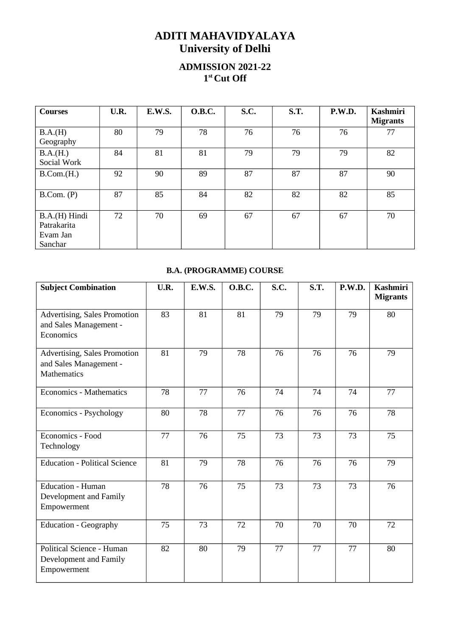## ADITI MAHAVIDYALAYA University of Delhi

## ADMISSION 2021-22 1 st Cut Off

| <b>Courses</b>                                      | U.R. | E.W.S. | <b>O.B.C.</b> | S.C. | <b>S.T.</b> | P.W.D. | <b>Kashmiri</b><br><b>Migrants</b> |
|-----------------------------------------------------|------|--------|---------------|------|-------------|--------|------------------------------------|
| B.A.(H)<br>Geography                                | 80   | 79     | 78            | 76   | 76          | 76     | 77                                 |
| B.A.(H.)<br>Social Work                             | 84   | 81     | 81            | 79   | 79          | 79     | 82                                 |
| B. Com.(H.)                                         | 92   | 90     | 89            | 87   | 87          | 87     | 90                                 |
| B. Com. (P)                                         | 87   | 85     | 84            | 82   | 82          | 82     | 85                                 |
| B.A.(H) Hindi<br>Patrakarita<br>Evam Jan<br>Sanchar | 72   | 70     | 69            | 67   | 67          | 67     | 70                                 |

## B.A. (PROGRAMME) COURSE

| <b>Subject Combination</b>                                            | U.R. | <b>E.W.S.</b> | <b>O.B.C.</b> | S.C. | S.T. | P.W.D. | <b>Kashmiri</b><br><b>Migrants</b> |
|-----------------------------------------------------------------------|------|---------------|---------------|------|------|--------|------------------------------------|
| Advertising, Sales Promotion<br>and Sales Management -<br>Economics   | 83   | 81            | 81            | 79   | 79   | 79     | 80                                 |
| Advertising, Sales Promotion<br>and Sales Management -<br>Mathematics | 81   | 79            | 78            | 76   | 76   | 76     | 79                                 |
| <b>Economics - Mathematics</b>                                        | 78   | 77            | 76            | 74   | 74   | 74     | 77                                 |
| Economics - Psychology                                                | 80   | 78            | 77            | 76   | 76   | 76     | 78                                 |
| Economics - Food<br>Technology                                        | 77   | 76            | 75            | 73   | 73   | 73     | 75                                 |
| <b>Education - Political Science</b>                                  | 81   | 79            | 78            | 76   | 76   | 76     | 79                                 |
| <b>Education - Human</b><br>Development and Family<br>Empowerment     | 78   | 76            | 75            | 73   | 73   | 73     | 76                                 |
| <b>Education - Geography</b>                                          | 75   | 73            | 72            | 70   | 70   | 70     | 72                                 |
| Political Science - Human<br>Development and Family<br>Empowerment    | 82   | 80            | 79            | 77   | 77   | 77     | 80                                 |